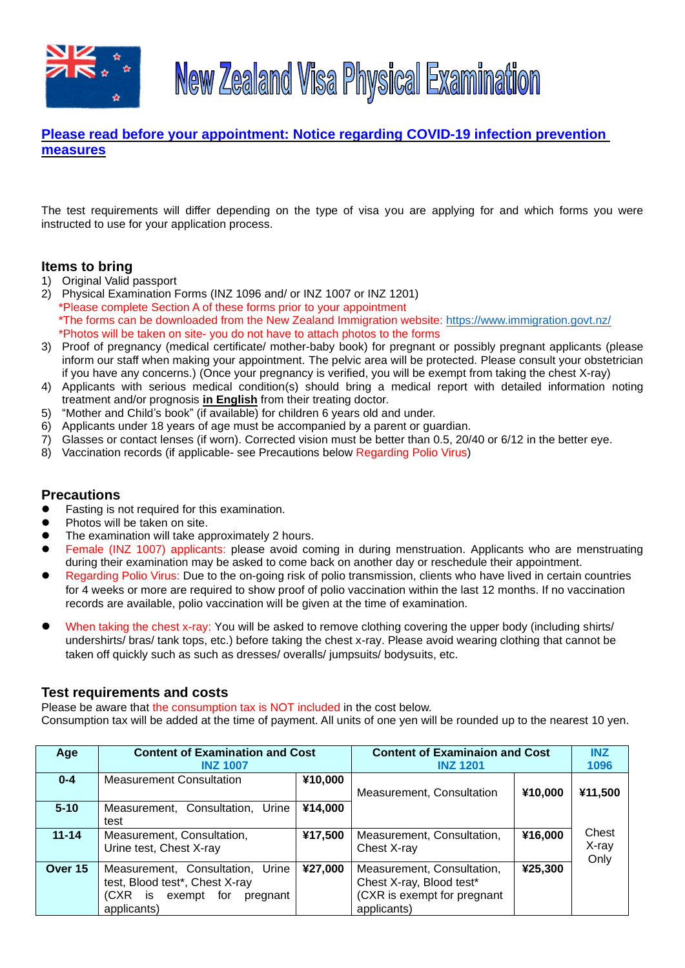



# **Please read before your appointment: [Notice regarding COVID-19 infection prevention](https://tmsc.jp/notice-regarding-covid-19-infection-prevention-measures)  [measures](https://tmsc.jp/notice-regarding-covid-19-infection-prevention-measures)**

The test requirements will differ depending on the type of visa you are applying for and which forms you were instructed to use for your application process.

### **Items to bring**

- 1) Original Valid passport
- 2) Physical Examination Forms (INZ 1096 and/ or INZ 1007 or INZ 1201) \*Please complete Section A of these forms prior to your appointment \*The forms can be downloaded from the New Zealand Immigration website:<https://www.immigration.govt.nz/> \*Photos will be taken on site- you do not have to attach photos to the forms
- 3) Proof of pregnancy (medical certificate/ mother-baby book) for pregnant or possibly pregnant applicants (please inform our staff when making your appointment. The pelvic area will be protected. Please consult your obstetrician if you have any concerns.) (Once your pregnancy is verified, you will be exempt from taking the chest X-ray)
- 4) Applicants with serious medical condition(s) should bring a medical report with detailed information noting treatment and/or prognosis **in English** from their treating doctor.
- 5) "Mother and Child's book" (if available) for children 6 years old and under.
- 6) Applicants under 18 years of age must be accompanied by a parent or guardian.
- 7) Glasses or contact lenses (if worn). Corrected vision must be better than 0.5, 20/40 or 6/12 in the better eye.
- 8) Vaccination records (if applicable- see Precautions below Regarding Polio Virus)

### **Precautions**

- ⚫ Fasting is not required for this examination.
- ⚫ Photos will be taken on site.
- The examination will take approximately 2 hours.
- Female (INZ 1007) applicants: please avoid coming in during menstruation. Applicants who are menstruating during their examination may be asked to come back on another day or reschedule their appointment.
- ⚫ Regarding Polio Virus: Due to the on-going risk of polio transmission, clients who have lived in certain countries for 4 weeks or more are required to show proof of polio vaccination within the last 12 months. If no vaccination records are available, polio vaccination will be given at the time of examination.
- When taking the chest x-ray: You will be asked to remove clothing covering the upper body (including shirts/ undershirts/ bras/ tank tops, etc.) before taking the chest x-ray. Please avoid wearing clothing that cannot be taken off quickly such as such as dresses/ overalls/ jumpsuits/ bodysuits, etc.

#### **Test requirements and costs**

Please be aware that the consumption tax is NOT included in the cost below.

Consumption tax will be added at the time of payment. All units of one yen will be rounded up to the nearest 10 yen.

| Age       | <b>Content of Examination and Cost</b> |         | <b>Content of Examinaion and Cost</b> |         | <b>INZ</b> |
|-----------|----------------------------------------|---------|---------------------------------------|---------|------------|
|           | <b>INZ 1007</b>                        |         | <b>INZ 1201</b>                       |         | 1096       |
| $0 - 4$   | <b>Measurement Consultation</b>        | ¥10,000 |                                       |         |            |
|           |                                        |         | Measurement, Consultation             | ¥10,000 | ¥11,500    |
| $5 - 10$  | Measurement, Consultation,<br>Urine    | ¥14,000 |                                       |         |            |
|           | test                                   |         |                                       |         |            |
| $11 - 14$ | Measurement, Consultation,             | ¥17,500 | Measurement, Consultation,            | ¥16,000 | Chest      |
|           | Urine test, Chest X-ray                |         | Chest X-ray                           |         | X-ray      |
| Over 15   |                                        |         |                                       | ¥25,300 | Only       |
|           | Measurement, Consultation,<br>Urine    | ¥27,000 | Measurement, Consultation,            |         |            |
|           | test, Blood test*, Chest X-ray         |         | Chest X-ray, Blood test*              |         |            |
|           | is<br>exempt for<br>(CXR<br>pregnant   |         | (CXR is exempt for pregnant           |         |            |
|           | applicants)                            |         | applicants)                           |         |            |